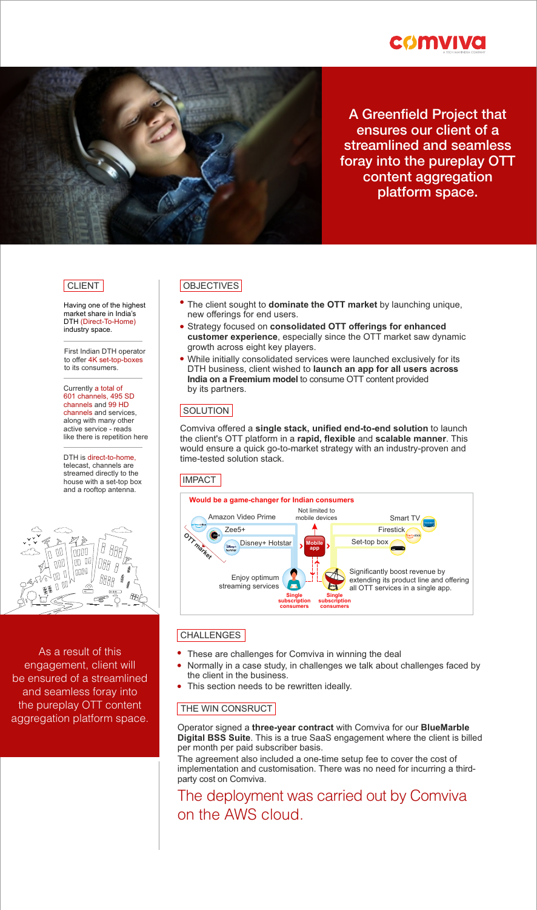



# A Greenfield Project that ensures our client of a streamlined and seamless foray into the pureplay OTT content aggregation platform space.

Having one of the highest market share in India's DTH (Direct-To-Home) industry space.

First Indian DTH operator to offer 4K set-top-boxes to its consumers.

Currently a total of 601 channels, 495 SD channels and 99 HD channels and services, along with many other active service - reads like there is repetition here

DTH is direct-to-home, telecast, channels are streamed directly to the house with a set-top box and a rooftop antenna.



As a result of this engagement, client will be ensured of a streamlined and seamless foray into the pureplay OTT content aggregation platform space.

#### CLIENT OBJECTIVES

- The client sought to **dominate the OTT market** by launching unique, new offerings for end users.
- Strategy focused on **consolidated OTT offerings for enhanced customer experience**, especially since the OTT market saw dynamic growth across eight key players.
- While initially consolidated services were launched exclusively for its DTH business, client wished to **launch an app for all users across India on a Freemium model** to consume OTT content provided by its partners.

#### SOLUTION

Comviva offered a **single stack, unified end-to-end solution** to launch the client's OTT platform in a **rapid, flexible** and **scalable manner**. This would ensure a quick go-to-market strategy with an industry-proven and time-tested solution stack.

#### **IMPACT**



#### **CHALLENGES**

- These are challenges for Comviva in winning the deal
- Normally in a case study, in challenges we talk about challenges faced by the client in the business.
- This section needs to be rewritten ideally.

## THE WIN CONSRUCT

Operator signed a **three-year contract** with Comviva for our **BlueMarble Digital BSS Suite**. This is a true SaaS engagement where the client is billed per month per paid subscriber basis.

The agreement also included a one-time setup fee to cover the cost of implementation and customisation. There was no need for incurring a thirdparty cost on Comviva.

# The deployment was carried out by Comviva on the AWS cloud.